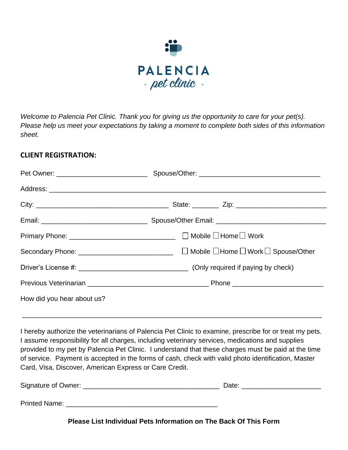

Welcome to Palencia Pet Clinic. Thank you for giving us the opportunity to care for your pet(s). Please help us meet your expectations by taking a moment to complete both sides of this information sheet.

## **CLIENT REGISTRATION:**

|                            | Primary Phone: _____________________________ □ Mobile □ Home □ Work |  |  |  |
|----------------------------|---------------------------------------------------------------------|--|--|--|
|                            |                                                                     |  |  |  |
|                            |                                                                     |  |  |  |
|                            |                                                                     |  |  |  |
| How did you hear about us? |                                                                     |  |  |  |

I hereby authorize the veterinarians of Palencia Pet Clinic to examine, prescribe for or treat my pets. I assume responsibility for all charges, including veterinary services, medications and supplies provided to my pet by Palencia Pet Clinic. I understand that these charges must be paid at the time of service. Payment is accepted in the forms of cash, check with valid photo identification, Master Card, Visa, Discover, American Express or Care Credit.

\_\_\_\_\_\_\_\_\_\_\_\_\_\_\_\_\_\_\_\_\_\_\_\_\_\_\_\_\_\_\_\_\_\_\_\_\_\_\_\_\_\_\_\_\_\_\_\_\_\_\_\_\_\_\_\_\_\_\_\_\_\_\_\_\_\_\_\_\_\_\_\_\_\_\_\_\_\_\_

| Signature of Owner: _ | Date: |  |
|-----------------------|-------|--|
| <b>Printed Name:</b>  |       |  |

**Please List Individual Pets Information on The Back Of This Form**